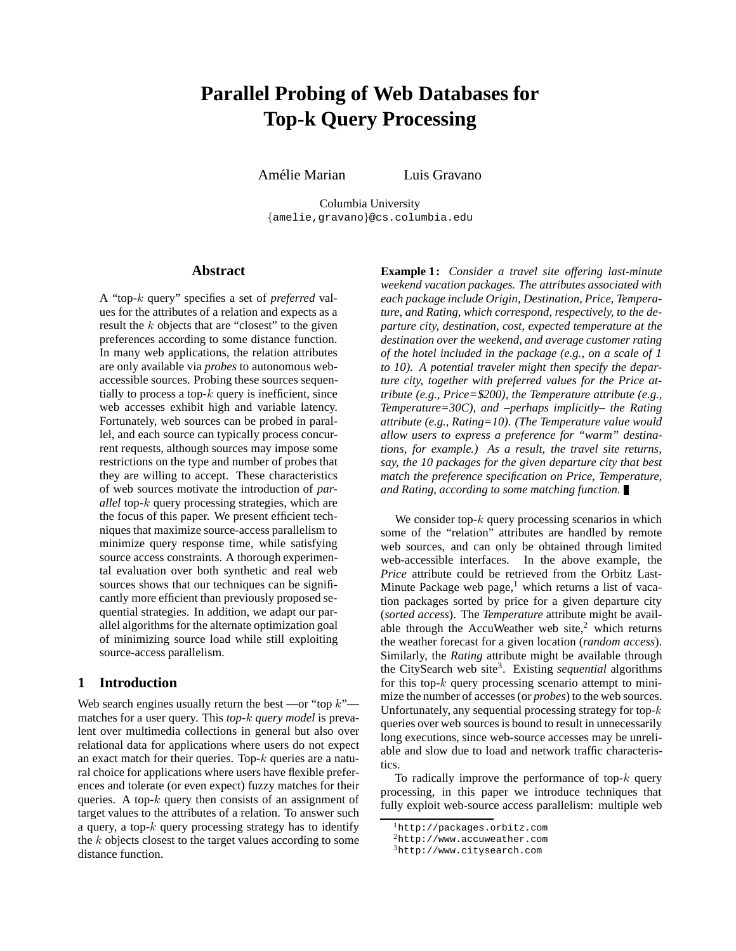# **Parallel Probing of Web Databases for Top-k Query Processing**

Amélie Marian Luis Gravano

Columbia University {amelie,gravano}@cs.columbia.edu

# **Abstract**

A "top-k query" specifies a set of *preferred* values for the attributes of a relation and expects as a result the k objects that are "closest" to the given preferences according to some distance function. In many web applications, the relation attributes are only available via *probes* to autonomous webaccessible sources. Probing these sources sequentially to process a top- $k$  query is inefficient, since web accesses exhibit high and variable latency. Fortunately, web sources can be probed in parallel, and each source can typically process concurrent requests, although sources may impose some restrictions on the type and number of probes that they are willing to accept. These characteristics of web sources motivate the introduction of *parallel* top-k query processing strategies, which are the focus of this paper. We present efficient techniques that maximize source-access parallelism to minimize query response time, while satisfying source access constraints. A thorough experimental evaluation over both synthetic and real web sources shows that our techniques can be significantly more efficient than previously proposed sequential strategies. In addition, we adapt our parallel algorithms for the alternate optimization goal of minimizing source load while still exploiting source-access parallelism.

# **1 Introduction**

Web search engines usually return the best —or "top  $k$ " matches for a user query. This *top-*k *query model* is prevalent over multimedia collections in general but also over relational data for applications where users do not expect an exact match for their queries. Top-k queries are a natural choice for applications where users have flexible preferences and tolerate (or even expect) fuzzy matches for their queries. A top- $k$  query then consists of an assignment of target values to the attributes of a relation. To answer such a query, a top- $k$  query processing strategy has to identify the k objects closest to the target values according to some distance function.

**Example 1:** *Consider a travel site offering last-minute weekend vacation packages. The attributes associated with each package include Origin, Destination, Price, Temperature, and Rating, which correspond, respectively, to the departure city, destination, cost, expected temperature at the destination over the weekend, and average customer rating of the hotel included in the package (e.g., on a scale of 1 to 10). A potential traveler might then specify the departure city, together with preferred values for the Price attribute (e.g., Price=*\$*200), the Temperature attribute (e.g., Temperature=30C), and –perhaps implicitly– the Rating attribute (e.g., Rating=10). (The Temperature value would allow users to express a preference for "warm" destinations, for example.) As a result, the travel site returns, say, the 10 packages for the given departure city that best match the preference specification on Price, Temperature, and Rating, according to some matching function.*

We consider top- $k$  query processing scenarios in which some of the "relation" attributes are handled by remote web sources, and can only be obtained through limited web-accessible interfaces. In the above example, the *Price* attribute could be retrieved from the Orbitz Last-Minute Package web page, $1$  which returns a list of vacation packages sorted by price for a given departure city (*sorted access*). The *Temperature* attribute might be available through the AccuWeather web site, $2$  which returns the weather forecast for a given location (*random access*). Similarly, the *Rating* attribute might be available through the CitySearch web site3. Existing *sequential* algorithms for this top- $k$  query processing scenario attempt to minimize the number of accesses (or *probes*) to the web sources. Unfortunately, any sequential processing strategy for top- $k$ queries over web sources is bound to result in unnecessarily long executions, since web-source accesses may be unreliable and slow due to load and network traffic characteristics.

To radically improve the performance of top- $k$  query processing, in this paper we introduce techniques that fully exploit web-source access parallelism: multiple web

<sup>1</sup>http://packages.orbitz.com

<sup>2</sup>http://www.accuweather.com

<sup>3</sup>http://www.citysearch.com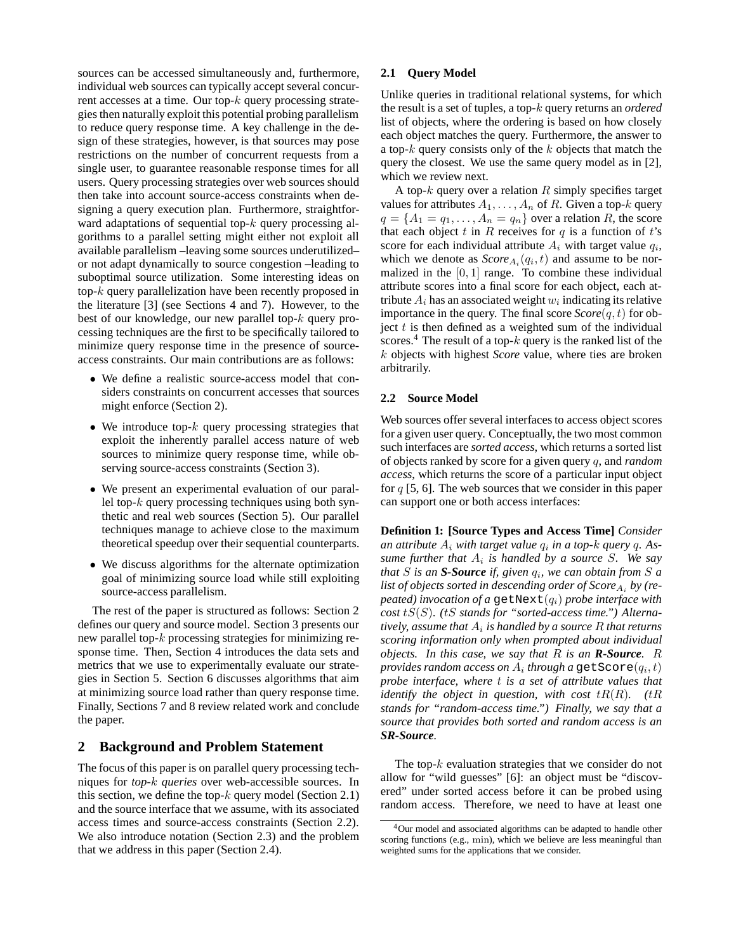sources can be accessed simultaneously and, furthermore, individual web sources can typically accept several concurrent accesses at a time. Our top-k query processing strategies then naturally exploit this potential probing parallelism to reduce query response time. A key challenge in the design of these strategies, however, is that sources may pose restrictions on the number of concurrent requests from a single user, to guarantee reasonable response times for all users. Query processing strategies over web sources should then take into account source-access constraints when designing a query execution plan. Furthermore, straightforward adaptations of sequential top- $k$  query processing algorithms to a parallel setting might either not exploit all available parallelism –leaving some sources underutilized– or not adapt dynamically to source congestion –leading to suboptimal source utilization. Some interesting ideas on top-k query parallelization have been recently proposed in the literature [3] (see Sections 4 and 7). However, to the best of our knowledge, our new parallel top-k query processing techniques are the first to be specifically tailored to minimize query response time in the presence of sourceaccess constraints. Our main contributions are as follows:

- We define a realistic source-access model that considers constraints on concurrent accesses that sources might enforce (Section 2).
- We introduce top- $k$  query processing strategies that exploit the inherently parallel access nature of web sources to minimize query response time, while observing source-access constraints (Section 3).
- We present an experimental evaluation of our parallel top- $k$  query processing techniques using both synthetic and real web sources (Section 5). Our parallel techniques manage to achieve close to the maximum theoretical speedup over their sequential counterparts.
- We discuss algorithms for the alternate optimization goal of minimizing source load while still exploiting source-access parallelism.

The rest of the paper is structured as follows: Section 2 defines our query and source model. Section 3 presents our new parallel top- $k$  processing strategies for minimizing response time. Then, Section 4 introduces the data sets and metrics that we use to experimentally evaluate our strategies in Section 5. Section 6 discusses algorithms that aim at minimizing source load rather than query response time. Finally, Sections 7 and 8 review related work and conclude the paper.

# **2 Background and Problem Statement**

The focus of this paper is on parallel query processing techniques for *top-*k *queries* over web-accessible sources. In this section, we define the top- $k$  query model (Section 2.1) and the source interface that we assume, with its associated access times and source-access constraints (Section 2.2). We also introduce notation (Section 2.3) and the problem that we address in this paper (Section 2.4).

## **2.1 Query Model**

Unlike queries in traditional relational systems, for which the result is a set of tuples, a top-k query returns an *ordered* list of objects, where the ordering is based on how closely each object matches the query. Furthermore, the answer to a top- $k$  query consists only of the  $k$  objects that match the query the closest. We use the same query model as in [2], which we review next.

A top- $k$  query over a relation  $R$  simply specifies target values for attributes  $A_1, \ldots, A_n$  of R. Given a top-k query  $q = \{A_1 = q_1, \ldots, A_n = q_n\}$  over a relation R, the score that each object t in R receives for  $q$  is a function of t's score for each individual attribute  $A_i$  with target value  $q_i$ , which we denote as  $Score_{A_i}(q_i, t)$  and assume to be normalized in the  $[0, 1]$  range. To combine these individual attribute scores into a final score for each object, each attribute  $A_i$  has an associated weight  $w_i$  indicating its relative importance in the query. The final score  $Score(q, t)$  for object  $t$  is then defined as a weighted sum of the individual scores.<sup>4</sup> The result of a top- $k$  query is the ranked list of the k objects with highest *Score* value, where ties are broken arbitrarily.

## **2.2 Source Model**

Web sources offer several interfaces to access object scores for a given user query. Conceptually, the two most common such interfaces are *sorted access*, which returns a sorted list of objects ranked by score for a given query q, and *random access*, which returns the score of a particular input object for  $q$  [5, 6]. The web sources that we consider in this paper can support one or both access interfaces:

**Definition 1: [Source Types and Access Time]** *Consider* an attribute  $A_i$  with target value  $q_i$  in a top-k query q. As*sume further that* A<sup>i</sup> *is handled by a source* S*. We say that*  $S$  *is an S-Source if, given*  $q_i$ *, we can obtain from*  $S$  *a* list of objects sorted in descending order of Score<sub>A<sub>i</sub></sub> by (re*peated) invocation of a* getNext $(q_i)$  *probe interface with cost* tS(S)*. (*tS *stands for "sorted-access time.") Alternatively, assume that*  $A_i$  *is handled by a source*  $R$  *that returns scoring information only when prompted about individual objects. In this case, we say that* R *is an R-Source.* R *provides random access on*  $A_i$  *through a* getScore $(q_i, t)$ *probe interface, where* t *is a set of attribute values that identify the object in question, with cost*  $tR(R)$ . ( $tR$ *stands for "random-access time.") Finally, we say that a source that provides both sorted and random access is an SR-Source.*

The top- $k$  evaluation strategies that we consider do not allow for "wild guesses" [6]: an object must be "discovered" under sorted access before it can be probed using random access. Therefore, we need to have at least one

<sup>4</sup>Our model and associated algorithms can be adapted to handle other scoring functions (e.g., min), which we believe are less meaningful than weighted sums for the applications that we consider.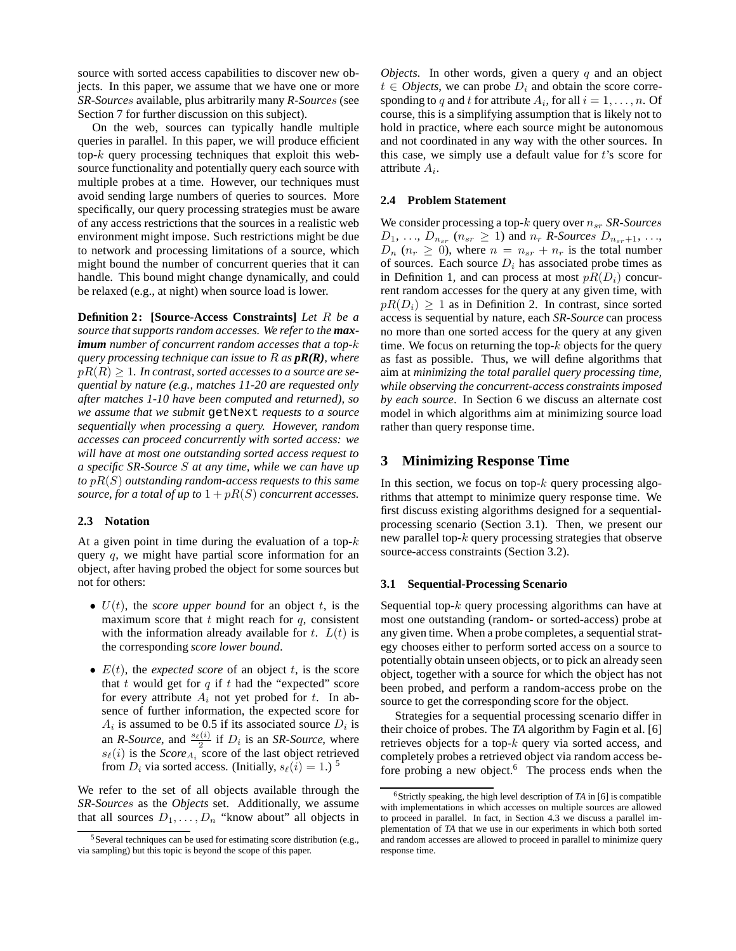source with sorted access capabilities to discover new objects. In this paper, we assume that we have one or more *SR-Source*s available, plus arbitrarily many *R-Source*s (see Section 7 for further discussion on this subject).

On the web, sources can typically handle multiple queries in parallel. In this paper, we will produce efficient top- $k$  query processing techniques that exploit this websource functionality and potentially query each source with multiple probes at a time. However, our techniques must avoid sending large numbers of queries to sources. More specifically, our query processing strategies must be aware of any access restrictions that the sources in a realistic web environment might impose. Such restrictions might be due to network and processing limitations of a source, which might bound the number of concurrent queries that it can handle. This bound might change dynamically, and could be relaxed (e.g., at night) when source load is lower.

**Definition 2: [Source-Access Constraints]** *Let* R *be a source that supports random accesses. We refer to the maximum number of concurrent random accesses that a top-*k *query processing technique can issue to* R *as pR(R), where*  $pR(R) \geq 1$ *. In contrast, sorted accesses to a source are sequential by nature (e.g., matches 11-20 are requested only after matches 1-10 have been computed and returned), so we assume that we submit* getNext *requests to a source sequentially when processing a query. However, random accesses can proceed concurrently with sorted access: we will have at most one outstanding sorted access request to a specific SR-Source* S *at any time, while we can have up to* pR(S) *outstanding random-access requests to this same source, for a total of up to*  $1 + pR(S)$  *concurrent accesses.* 

## **2.3 Notation**

At a given point in time during the evaluation of a top- $k$ query  $q$ , we might have partial score information for an object, after having probed the object for some sources but not for others:

- $\bullet$   $U(t)$ , the *score upper bound* for an object t, is the maximum score that  $t$  might reach for  $q$ , consistent with the information already available for  $t$ .  $L(t)$  is the corresponding *score lower bound*.
- $E(t)$ , the *expected score* of an object t, is the score that  $t$  would get for  $q$  if  $t$  had the "expected" score for every attribute  $A_i$  not yet probed for t. In absence of further information, the expected score for  $A_i$  is assumed to be 0.5 if its associated source  $D_i$  is an *R*-Source, and  $\frac{s_{\ell}(i)}{2}$  if  $D_i$  is an *SR-Source*, where  $s_{\ell}(i)$  is the *Score*<sub>A<sub>i</sub> score of the last object retrieved</sub> from  $D_i$  via sorted access. (Initially,  $s_{\ell}(i)=1.$ ) <sup>5</sup>

We refer to the set of all objects available through the *SR-Source*s as the *Objects* set. Additionally, we assume that all sources  $D_1, \ldots, D_n$  "know about" all objects in *Objects*. In other words, given a query  $q$  and an object  $t \in Objects$ , we can probe  $D_i$  and obtain the score corresponding to q and t for attribute  $A_i$ , for all  $i = 1, \ldots, n$ . Of course, this is a simplifying assumption that is likely not to hold in practice, where each source might be autonomous and not coordinated in any way with the other sources. In this case, we simply use a default value for  $t$ 's score for attribute  $A_i$ .

## **2.4 Problem Statement**

We consider processing a top-k query over  $n_{sr}$  *SR-Sources*  $D_1, \ldots, D_{n_{sr}}$  ( $n_{sr} \geq 1$ ) and  $n_r$  *R-Sources*  $D_{n_{sr}+1}, \ldots$ ,  $D_n$  ( $n_r \geq 0$ ), where  $n = n_{sr} + n_r$  is the total number of sources. Each source  $D_i$  has associated probe times as in Definition 1, and can process at most  $pR(D_i)$  concurrent random accesses for the query at any given time, with  $pR(D_i) \geq 1$  as in Definition 2. In contrast, since sorted access is sequential by nature, each *SR-Source* can process no more than one sorted access for the query at any given time. We focus on returning the top- $k$  objects for the query as fast as possible. Thus, we will define algorithms that aim at *minimizing the total parallel query processing time, while observing the concurrent-access constraints imposed by each source*. In Section 6 we discuss an alternate cost model in which algorithms aim at minimizing source load rather than query response time.

# **3 Minimizing Response Time**

In this section, we focus on top- $k$  query processing algorithms that attempt to minimize query response time. We first discuss existing algorithms designed for a sequentialprocessing scenario (Section 3.1). Then, we present our new parallel top-k query processing strategies that observe source-access constraints (Section 3.2).

#### **3.1 Sequential-Processing Scenario**

Sequential top- $k$  query processing algorithms can have at most one outstanding (random- or sorted-access) probe at any given time. When a probe completes, a sequential strategy chooses either to perform sorted access on a source to potentially obtain unseen objects, or to pick an already seen object, together with a source for which the object has not been probed, and perform a random-access probe on the source to get the corresponding score for the object.

Strategies for a sequential processing scenario differ in their choice of probes. The *TA* algorithm by Fagin et al. [6] retrieves objects for a top- $k$  query via sorted access, and completely probes a retrieved object via random access before probing a new object. $6$  The process ends when the

<sup>5</sup>Several techniques can be used for estimating score distribution (e.g., via sampling) but this topic is beyond the scope of this paper.

<sup>6</sup>Strictly speaking, the high level description of *TA* in [6] is compatible with implementations in which accesses on multiple sources are allowed to proceed in parallel. In fact, in Section 4.3 we discuss a parallel implementation of *TA* that we use in our experiments in which both sorted and random accesses are allowed to proceed in parallel to minimize query response time.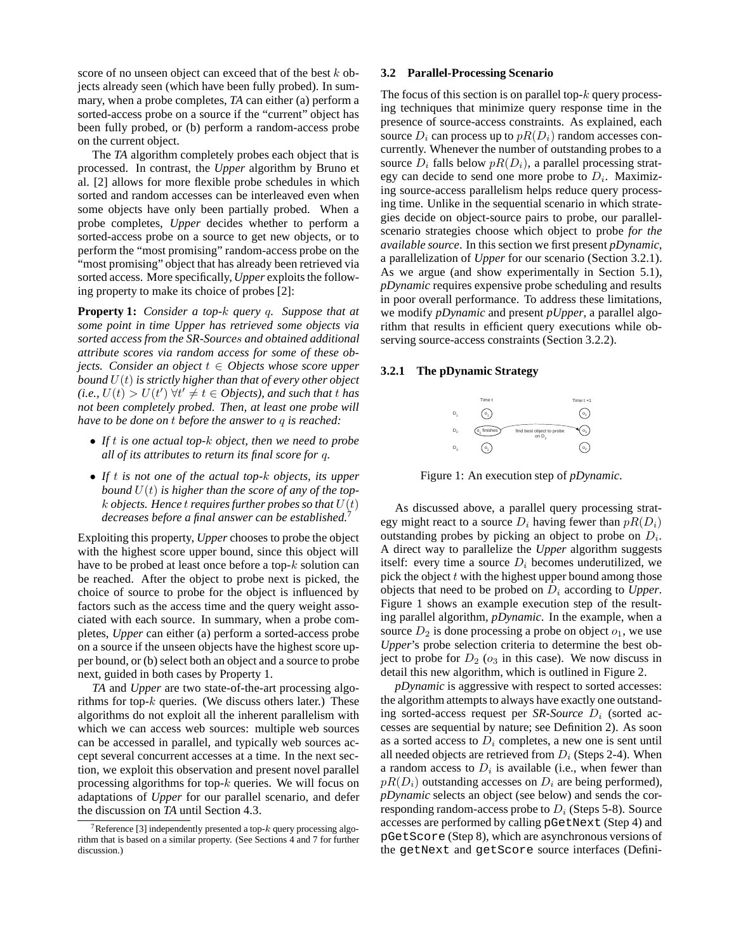score of no unseen object can exceed that of the best  $k$  objects already seen (which have been fully probed). In summary, when a probe completes, *TA* can either (a) perform a sorted-access probe on a source if the "current" object has been fully probed, or (b) perform a random-access probe on the current object.

The *TA* algorithm completely probes each object that is processed. In contrast, the *Upper* algorithm by Bruno et al. [2] allows for more flexible probe schedules in which sorted and random accesses can be interleaved even when some objects have only been partially probed. When a probe completes, *Upper* decides whether to perform a sorted-access probe on a source to get new objects, or to perform the "most promising" random-access probe on the "most promising" object that has already been retrieved via sorted access. More specifically, *Upper* exploits the following property to make its choice of probes [2]:

**Property 1:** *Consider a top-*k *query* q*. Suppose that at some point in time Upper has retrieved some objects via sorted access from the SR-Source*s *and obtained additional attribute scores via random access for some of these objects.* Consider an object  $t \in Object$  whose score upper *bound* U(t) *is strictly higher than that of every other object*  $(i.e., U(t) > U(t') \; \forall t' \neq t \in Objects$ , and such that t has *not been completely probed. Then, at least one probe will have to be done on* t *before the answer to* q *is reached:*

- *If* t *is one actual top-*k *object, then we need to probe all of its attributes to return its final score for* q*.*
- *If* t *is not one of the actual top-*k *objects, its upper bound* U(t) *is higher than the score of any of the top* $k$  *objects. Hence t requires further probes so that*  $U(t)$ *decreases before a final answer can be established.*<sup>7</sup>

Exploiting this property, *Upper* chooses to probe the object with the highest score upper bound, since this object will have to be probed at least once before a top- $k$  solution can be reached. After the object to probe next is picked, the choice of source to probe for the object is influenced by factors such as the access time and the query weight associated with each source. In summary, when a probe completes, *Upper* can either (a) perform a sorted-access probe on a source if the unseen objects have the highest score upper bound, or (b) select both an object and a source to probe next, guided in both cases by Property 1.

*TA* and *Upper* are two state-of-the-art processing algorithms for top- $k$  queries. (We discuss others later.) These algorithms do not exploit all the inherent parallelism with which we can access web sources: multiple web sources can be accessed in parallel, and typically web sources accept several concurrent accesses at a time. In the next section, we exploit this observation and present novel parallel processing algorithms for top- $k$  queries. We will focus on adaptations of *Upper* for our parallel scenario, and defer the discussion on *TA* until Section 4.3.

## **3.2 Parallel-Processing Scenario**

The focus of this section is on parallel top- $k$  query processing techniques that minimize query response time in the presence of source-access constraints. As explained, each source  $D_i$  can process up to  $pR(D_i)$  random accesses concurrently. Whenever the number of outstanding probes to a source  $D_i$  falls below  $pR(D_i)$ , a parallel processing strategy can decide to send one more probe to  $D_i$ . Maximizing source-access parallelism helps reduce query processing time. Unlike in the sequential scenario in which strategies decide on object-source pairs to probe, our parallelscenario strategies choose which object to probe *for the available source*. In this section we first present *pDynamic*, a parallelization of *Upper* for our scenario (Section 3.2.1). As we argue (and show experimentally in Section 5.1), *pDynamic* requires expensive probe scheduling and results in poor overall performance. To address these limitations, we modify *pDynamic* and present *pUpper*, a parallel algorithm that results in efficient query executions while observing source-access constraints (Section 3.2.2).

## **3.2.1 The pDynamic Strategy**



Figure 1: An execution step of *pDynamic*.

As discussed above, a parallel query processing strategy might react to a source  $D_i$  having fewer than  $pR(D_i)$ outstanding probes by picking an object to probe on  $D_i$ . A direct way to parallelize the *Upper* algorithm suggests itself: every time a source  $D_i$  becomes underutilized, we pick the object  $t$  with the highest upper bound among those objects that need to be probed on  $D_i$  according to *Upper*. Figure 1 shows an example execution step of the resulting parallel algorithm, *pDynamic*. In the example, when a source  $D_2$  is done processing a probe on object  $o_1$ , we use *Upper*'s probe selection criteria to determine the best object to probe for  $D_2$  ( $o_3$  in this case). We now discuss in detail this new algorithm, which is outlined in Figure 2.

*pDynamic* is aggressive with respect to sorted accesses: the algorithm attempts to always have exactly one outstanding sorted-access request per *SR-Source*  $D_i$  (sorted accesses are sequential by nature; see Definition 2). As soon as a sorted access to  $D<sub>i</sub>$  completes, a new one is sent until all needed objects are retrieved from  $D_i$  (Steps 2-4). When a random access to  $D_i$  is available (i.e., when fewer than  $pR(D_i)$  outstanding accesses on  $D_i$  are being performed), *pDynamic* selects an object (see below) and sends the corresponding random-access probe to  $D_i$  (Steps 5-8). Source accesses are performed by calling pGetNext (Step 4) and pGetScore (Step 8), which are asynchronous versions of the getNext and getScore source interfaces (Defini-

<sup>&</sup>lt;sup>7</sup>Reference [3] independently presented a top- $k$  query processing algorithm that is based on a similar property. (See Sections 4 and 7 for further discussion.)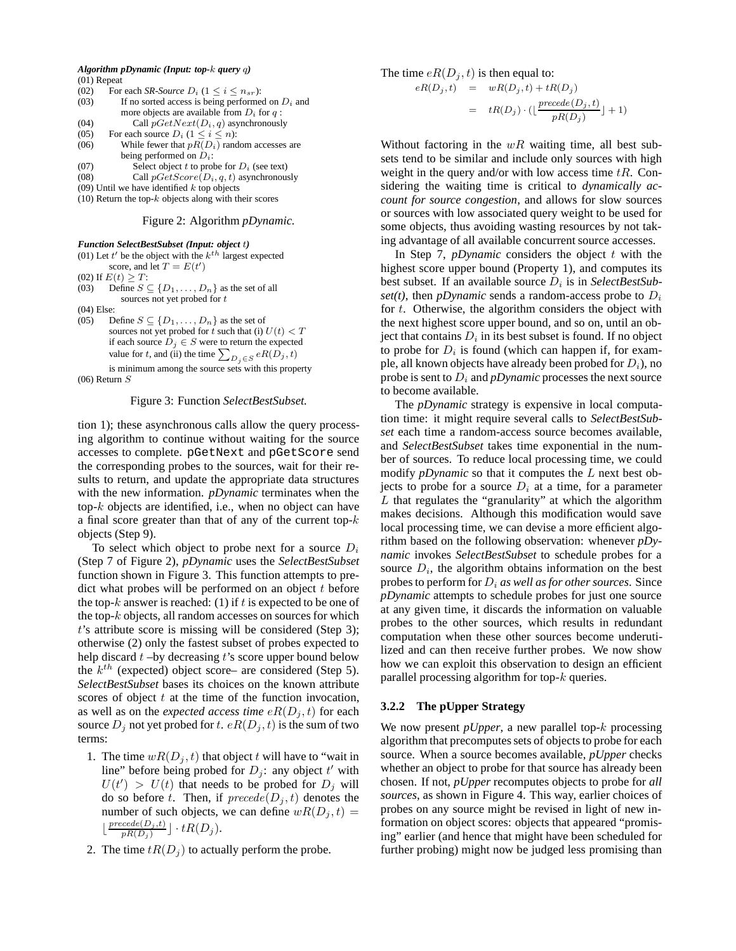| Algorithm pDynamic (Input: top- $k$ query $q$ ) |  |  |  |
|-------------------------------------------------|--|--|--|
| $(01)$ Repeat                                   |  |  |  |

| (02)              | For each SR-Source $D_i$ ( $1 \le i \le n_{sr}$ ):  |
|-------------------|-----------------------------------------------------|
| (03)              | If no sorted access is being performed on $D_i$ and |
|                   | more objects are available from $D_i$ for q:        |
| (04)              | Call $pGetNext(D_i, q)$ asynchronously              |
| (05)              | For each source $D_i$ (1 $\leq i \leq n$ ):         |
| (06)              | While fewer that $pR(D_i)$ random accesses are      |
|                   | being performed on $D_i$ :                          |
| (07)              | Select object t to probe for $D_i$ (see text)       |
| <b>CONTRACTOR</b> |                                                     |

(08) Call  $pGetScore(D_i, q, t)$  asynchronously

 $(09)$  Until we have identified  $k$  top objects

(10) Return the top- $k$  objects along with their scores

#### Figure 2: Algorithm *pDynamic.*

#### *Function SelectBestSubset (Input: object* t*)*

| (01) Let $t'$ be the object with the $kth$ largest expected         |
|---------------------------------------------------------------------|
| score, and let $T = E(t')$                                          |
| $(02)$ If $E(t) > T$ :                                              |
| Define $S \subseteq \{D_1, \ldots, D_n\}$ as the set of all<br>(03) |
| sources not yet probed for t                                        |

(04) Else:

(05) Define  $S \subseteq \{D_1, \ldots, D_n\}$  as the set of sources not yet probed for t such that (i)  $U(t) < T$ if each source  $D_j \in S$  were to return the expected value for t, and (ii) the time  $\sum_{D_j \in S} eR(D_j, t)$ is minimum among the source sets with this property

 $(06)$  Return  $S$ 

#### Figure 3: Function *SelectBestSubset.*

tion 1); these asynchronous calls allow the query processing algorithm to continue without waiting for the source accesses to complete. pGetNext and pGetScore send the corresponding probes to the sources, wait for their results to return, and update the appropriate data structures with the new information. *pDynamic* terminates when the top- $k$  objects are identified, i.e., when no object can have a final score greater than that of any of the current top- $k$ objects (Step 9).

To select which object to probe next for a source  $D_i$ (Step 7 of Figure 2), *pDynamic* uses the *SelectBestSubset* function shown in Figure 3. This function attempts to predict what probes will be performed on an object  $t$  before the top-k answer is reached: (1) if t is expected to be one of the top- $k$  objects, all random accesses on sources for which t's attribute score is missing will be considered (Step 3); otherwise (2) only the fastest subset of probes expected to help discard  $t$  –by decreasing  $t$ 's score upper bound below the  $k^{th}$  (expected) object score– are considered (Step 5). *SelectBestSubset* bases its choices on the known attribute scores of object  $t$  at the time of the function invocation, as well as on the *expected access time*  $eR(D_j, t)$  for each source  $D_i$  not yet probed for t.  $eR(D_i, t)$  is the sum of two terms:

- 1. The time  $wR(D_i, t)$  that object t will have to "wait in line" before being probed for  $D_j$ : any object t' with  $U(t') > U(t)$  that needs to be probed for  $D_j$  will do so before t. Then, if  $\text{precede}(D_j, t)$  denotes the number of such objects, we can define  $wR(D_i, t)$  =  $\lfloor \frac{precede(D_j,t)}{pR(D_j)} \rfloor \cdot tR(D_j).$
- 2. The time  $tR(D_j)$  to actually perform the probe.

The time 
$$
eR(D_j, t)
$$
 is then equal to:

$$
eR(D_j, t) = wR(D_j, t) + tR(D_j)
$$
  
= 
$$
tR(D_j) \cdot (\lfloor \frac{preede(D_j, t)}{pR(D_j)} \rfloor + 1)
$$

Without factoring in the  $wR$  waiting time, all best subsets tend to be similar and include only sources with high weight in the query and/or with low access time  $tR$ . Considering the waiting time is critical to *dynamically account for source congestion*, and allows for slow sources or sources with low associated query weight to be used for some objects, thus avoiding wasting resources by not taking advantage of all available concurrent source accesses.

In Step 7, *pDynamic* considers the object  $t$  with the highest score upper bound (Property 1), and computes its best subset. If an available source  $D_i$  is in *SelectBestSubset(t)*, then *pDynamic* sends a random-access probe to  $D_i$ for t. Otherwise, the algorithm considers the object with the next highest score upper bound, and so on, until an object that contains  $D_i$  in its best subset is found. If no object to probe for  $D_i$  is found (which can happen if, for example, all known objects have already been probed for  $D_i$ ), no probe is sent to  $D_i$  and *pDynamic* processes the next source to become available.

The *pDynamic* strategy is expensive in local computation time: it might require several calls to *SelectBestSubset* each time a random-access source becomes available, and *SelectBestSubset* takes time exponential in the number of sources. To reduce local processing time, we could modify *pDynamic* so that it computes the L next best objects to probe for a source  $D_i$  at a time, for a parameter  $L$  that regulates the "granularity" at which the algorithm makes decisions. Although this modification would save local processing time, we can devise a more efficient algorithm based on the following observation: whenever *pDynamic* invokes *SelectBestSubset* to schedule probes for a source  $D_i$ , the algorithm obtains information on the best probes to perform for  $D_i$  *as well as for other sources.* Since *pDynamic* attempts to schedule probes for just one source at any given time, it discards the information on valuable probes to the other sources, which results in redundant computation when these other sources become underutilized and can then receive further probes. We now show how we can exploit this observation to design an efficient parallel processing algorithm for top- $k$  queries.

## **3.2.2 The pUpper Strategy**

We now present *pUpper*, a new parallel top-k processing algorithm that precomputes sets of objects to probe for each source. When a source becomes available, *pUpper* checks whether an object to probe for that source has already been chosen. If not, *pUpper* recomputes objects to probe for *all sources*, as shown in Figure 4. This way, earlier choices of probes on any source might be revised in light of new information on object scores: objects that appeared "promising" earlier (and hence that might have been scheduled for further probing) might now be judged less promising than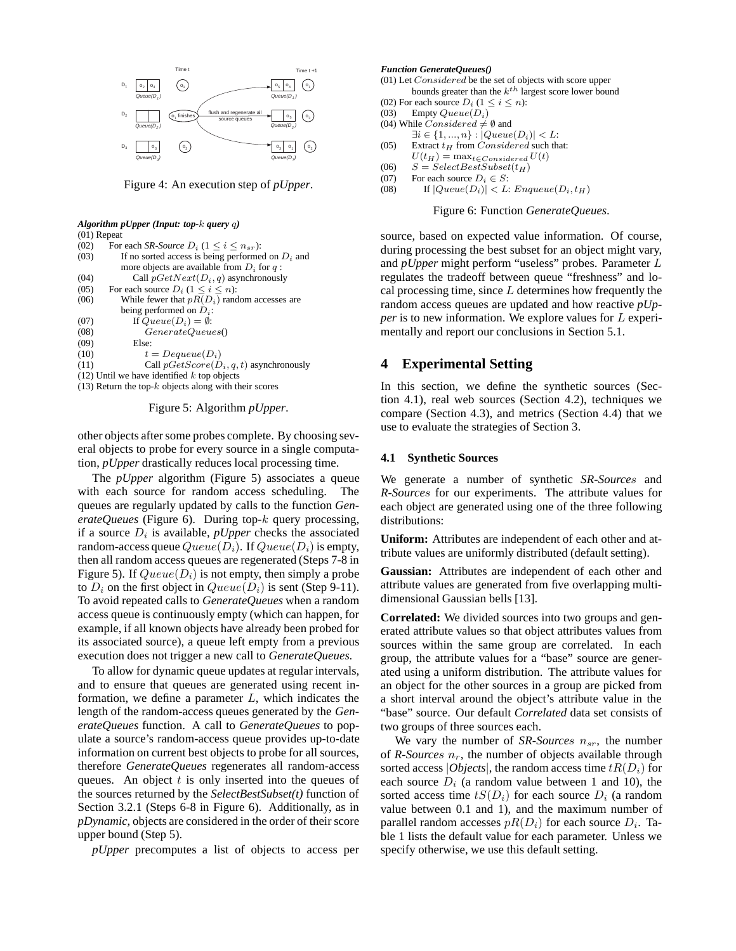

Figure 4: An execution step of *pUpper*.

#### *Algorithm pUpper (Input: top-*k *query* q*)* (01) Repeat

| (02) | For each <i>SR-Source</i> $D_i$ (1 $\lt i \lt n_{sr}$ ): |
|------|----------------------------------------------------------|
| (03) | If no sorted access is being performed on $D_i$ and      |
|      | more objects are available from $D_i$ for q:             |
| (04) | Call $pGetNext(D_i, q)$ asynchronously                   |
| (05) | For each source $D_i$ $(1 \leq i \leq n)$ :              |
| (06) | While fewer that $pR(D_i)$ random accesses are           |
|      | being performed on $D_i$ :                               |
| (07) | If $Queue(D_i) = \emptyset$ :                            |
| (08) | GenerateQueues()                                         |
| (09) | Else:                                                    |
| (10) | $t = Dequeue(D_i)$                                       |
| (11) | Call $pGetScore(D_i, q, t)$ asynchronously               |
|      | $(12)$ Until we have identified k top objects            |
|      | $(13)$ Return the top-k objects along with their scores  |

Figure 5: Algorithm *pUpper*.

other objects after some probes complete. By choosing several objects to probe for every source in a single computation, *pUpper* drastically reduces local processing time.

The *pUpper* algorithm (Figure 5) associates a queue with each source for random access scheduling. The queues are regularly updated by calls to the function *GenerateQueues* (Figure 6). During top-k query processing, if a source  $D_i$  is available, *pUpper* checks the associated random-access queue  $Queue(D_i)$ . If  $Queue(D_i)$  is empty, then all random access queues are regenerated (Steps 7-8 in Figure 5). If  $Queue(D_i)$  is not empty, then simply a probe to  $D_i$  on the first object in  $Queue(D_i)$  is sent (Step 9-11). To avoid repeated calls to *GenerateQueues* when a random access queue is continuously empty (which can happen, for example, if all known objects have already been probed for its associated source), a queue left empty from a previous execution does not trigger a new call to *GenerateQueues*.

To allow for dynamic queue updates at regular intervals, and to ensure that queues are generated using recent information, we define a parameter  $L$ , which indicates the length of the random-access queues generated by the *GenerateQueues* function. A call to *GenerateQueues* to populate a source's random-access queue provides up-to-date information on current best objects to probe for all sources, therefore *GenerateQueues* regenerates all random-access queues. An object  $t$  is only inserted into the queues of the sources returned by the *SelectBestSubset(t)* function of Section 3.2.1 (Steps 6-8 in Figure 6). Additionally, as in *pDynamic*, objects are considered in the order of their score upper bound (Step 5).

*pUpper* precomputes a list of objects to access per

#### *Function GenerateQueues()*

- (01) Let Considered be the set of objects with score upper bounds greater than the  $k^{th}$  largest score lower bound
- (02) For each source  $D_i$   $(1 \le i \le n)$ :<br>(03) Empty  $Queue(D_i)$
- Empty  $Queue(D_i)$
- (04) While  $Considered \neq \emptyset$  and
- $\exists i \in \{1, ..., n\} : |Queue(D_i)| < L$ :
- (05) Extract  $t_H$  from *Considered* such that:
- $U(t_H) = \max_{t \in Considered} U(t)$
- (06)  $S = SelectBestSubset(t_H)$ <br>(07) For each source  $D_i \in S$ :
- For each source  $D_i \in S$ :
- (08) If  $|Queue(D_i)| < L$ :  $Enqueue(D_i, t_H)$

Figure 6: Function *GenerateQueues*.

source, based on expected value information. Of course, during processing the best subset for an object might vary, and *pUpper* might perform "useless" probes. Parameter L regulates the tradeoff between queue "freshness" and local processing time, since  $L$  determines how frequently the random access queues are updated and how reactive *pUpper* is to new information. We explore values for L experimentally and report our conclusions in Section 5.1.

# **4 Experimental Setting**

In this section, we define the synthetic sources (Section 4.1), real web sources (Section 4.2), techniques we compare (Section 4.3), and metrics (Section 4.4) that we use to evaluate the strategies of Section 3.

#### **4.1 Synthetic Sources**

We generate a number of synthetic *SR-Source*s and *R-Source*s for our experiments. The attribute values for each object are generated using one of the three following distributions:

**Uniform:** Attributes are independent of each other and attribute values are uniformly distributed (default setting).

**Gaussian:** Attributes are independent of each other and attribute values are generated from five overlapping multidimensional Gaussian bells [13].

**Correlated:** We divided sources into two groups and generated attribute values so that object attributes values from sources within the same group are correlated. In each group, the attribute values for a "base" source are generated using a uniform distribution. The attribute values for an object for the other sources in a group are picked from a short interval around the object's attribute value in the "base" source. Our default *Correlated* data set consists of two groups of three sources each.

We vary the number of *SR-Sources*  $n_{sr}$ , the number of  $R\text{-}Sources$   $n_r$ , the number of objects available through sorted access |*Objects*|, the random access time  $tR(D_i)$  for each source  $D_i$  (a random value between 1 and 10), the sorted access time  $tS(D_i)$  for each source  $D_i$  (a random value between 0.1 and 1), and the maximum number of parallel random accesses  $pR(D_i)$  for each source  $D_i$ . Table 1 lists the default value for each parameter. Unless we specify otherwise, we use this default setting.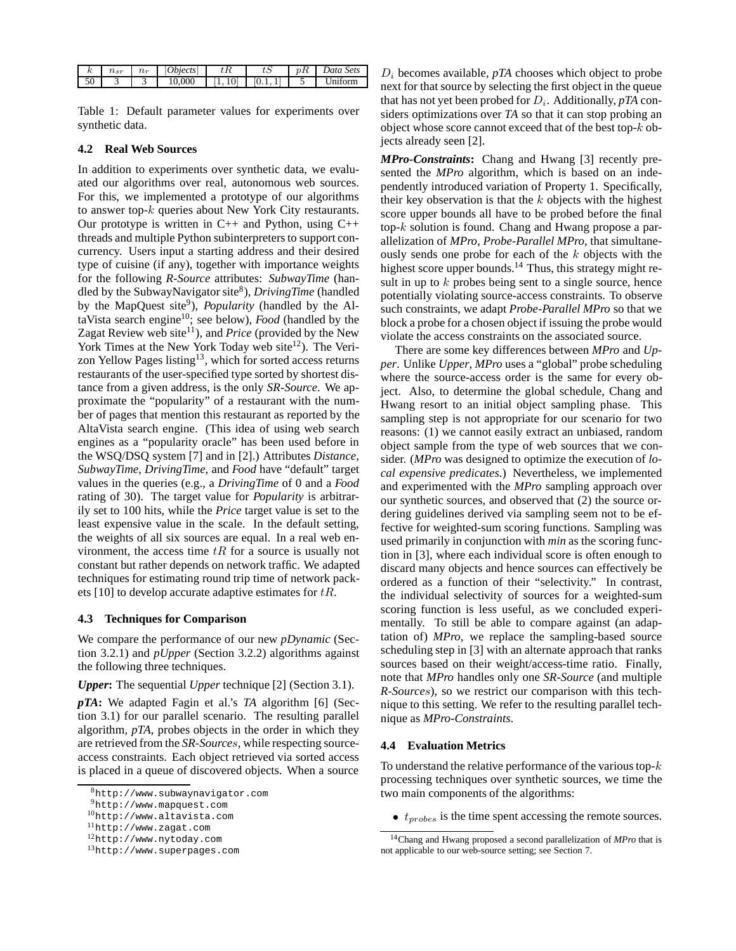|    | <b>Service</b><br>$l \in \tau$ | $\sim$<br>$\iota$ | <i><b>Dbjects</b></i> | しに | Jata Sets |
|----|--------------------------------|-------------------|-----------------------|----|-----------|
| υU |                                |                   | .000                  | ᅩ  | orm       |

Table 1: Default parameter values for experiments over synthetic data.

## **4.2 Real Web Sources**

In addition to experiments over synthetic data, we evaluated our algorithms over real, autonomous web sources. For this, we implemented a prototype of our algorithms to answer top-k queries about New York City restaurants. Our prototype is written in  $C_{++}$  and Python, using  $C_{++}$ threads and multiple Python subinterpreters to support concurrency. Users input a starting address and their desired type of cuisine (if any), together with importance weights for the following *R-Source* attributes: *SubwayTime* (handled by the SubwayNavigator site8), *DrivingTime* (handled by the MapQuest site<sup>9</sup>), *Popularity* (handled by the AltaVista search engine10; see below), *Food* (handled by the Zagat Review web site<sup>11</sup>), and *Price* (provided by the New York Times at the New York Today web site<sup>12</sup>). The Verizon Yellow Pages listing<sup>13</sup>, which for sorted access returns restaurants of the user-specified type sorted by shortest distance from a given address, is the only *SR-Source*. We approximate the "popularity" of a restaurant with the number of pages that mention this restaurant as reported by the AltaVista search engine. (This idea of using web search engines as a "popularity oracle" has been used before in the WSQ/DSQ system [7] and in [2].) Attributes *Distance*, *SubwayTime*, *DrivingTime*, and *Food* have "default" target values in the queries (e.g., a *DrivingTime* of 0 and a *Food* rating of 30). The target value for *Popularity* is arbitrarily set to 100 hits, while the *Price* target value is set to the least expensive value in the scale. In the default setting, the weights of all six sources are equal. In a real web environment, the access time  $tR$  for a source is usually not constant but rather depends on network traffic. We adapted techniques for estimating round trip time of network packets [10] to develop accurate adaptive estimates for  $tR$ .

## **4.3 Techniques for Comparison**

We compare the performance of our new *pDynamic* (Section 3.2.1) and *pUpper* (Section 3.2.2) algorithms against the following three techniques.

## *Upper***:** The sequential *Upper* technique [2] (Section 3.1).

*pTA***:** We adapted Fagin et al.'s *TA* algorithm [6] (Section 3.1) for our parallel scenario. The resulting parallel algorithm, *pTA*, probes objects in the order in which they are retrieved from the *SR-Source*s, while respecting sourceaccess constraints. Each object retrieved via sorted access is placed in a queue of discovered objects. When a source

 $D_i$  becomes available,  $pTA$  chooses which object to probe next for that source by selecting the first object in the queue that has not yet been probed for  $D_i$ . Additionally, *pTA* considers optimizations over *TA* so that it can stop probing an object whose score cannot exceed that of the best top-k objects already seen [2].

*MPro-Constraints***:** Chang and Hwang [3] recently presented the *MPro* algorithm, which is based on an independently introduced variation of Property 1. Specifically, their key observation is that the  $k$  objects with the highest score upper bounds all have to be probed before the final top-k solution is found. Chang and Hwang propose a parallelization of *MPro*, *Probe-Parallel MPro*, that simultaneously sends one probe for each of the  $k$  objects with the highest score upper bounds.<sup>14</sup> Thus, this strategy might result in up to  $k$  probes being sent to a single source, hence potentially violating source-access constraints. To observe such constraints, we adapt *Probe-Parallel MPro* so that we block a probe for a chosen object if issuing the probe would violate the access constraints on the associated source.

There are some key differences between *MPro* and *Upper*. Unlike *Upper*, *MPro* uses a "global" probe scheduling where the source-access order is the same for every object. Also, to determine the global schedule, Chang and Hwang resort to an initial object sampling phase. This sampling step is not appropriate for our scenario for two reasons: (1) we cannot easily extract an unbiased, random object sample from the type of web sources that we consider. (*MPro* was designed to optimize the execution of *local expensive predicates*.) Nevertheless, we implemented and experimented with the *MPro* sampling approach over our synthetic sources, and observed that (2) the source ordering guidelines derived via sampling seem not to be effective for weighted-sum scoring functions. Sampling was used primarily in conjunction with *min* as the scoring function in [3], where each individual score is often enough to discard many objects and hence sources can effectively be ordered as a function of their "selectivity." In contrast, the individual selectivity of sources for a weighted-sum scoring function is less useful, as we concluded experimentally. To still be able to compare against (an adaptation of) *MPro*, we replace the sampling-based source scheduling step in [3] with an alternate approach that ranks sources based on their weight/access-time ratio. Finally, note that *MPro* handles only one *SR-Source* (and multiple *R-Source*s), so we restrict our comparison with this technique to this setting. We refer to the resulting parallel technique as *MPro-Constraints*.

## **4.4 Evaluation Metrics**

To understand the relative performance of the various top- $k$ processing techniques over synthetic sources, we time the two main components of the algorithms:

 $\bullet$   $t_{probes}$  is the time spent accessing the remote sources.

<sup>8</sup>http://www.subwaynavigator.com

<sup>9</sup>http://www.mapquest.com

<sup>10</sup>http://www.altavista.com

<sup>11</sup>http://www.zagat.com

<sup>12</sup>http://www.nytoday.com

<sup>13</sup>http://www.superpages.com

<sup>14</sup>Chang and Hwang proposed a second parallelization of *MPro* that is not applicable to our web-source setting; see Section 7.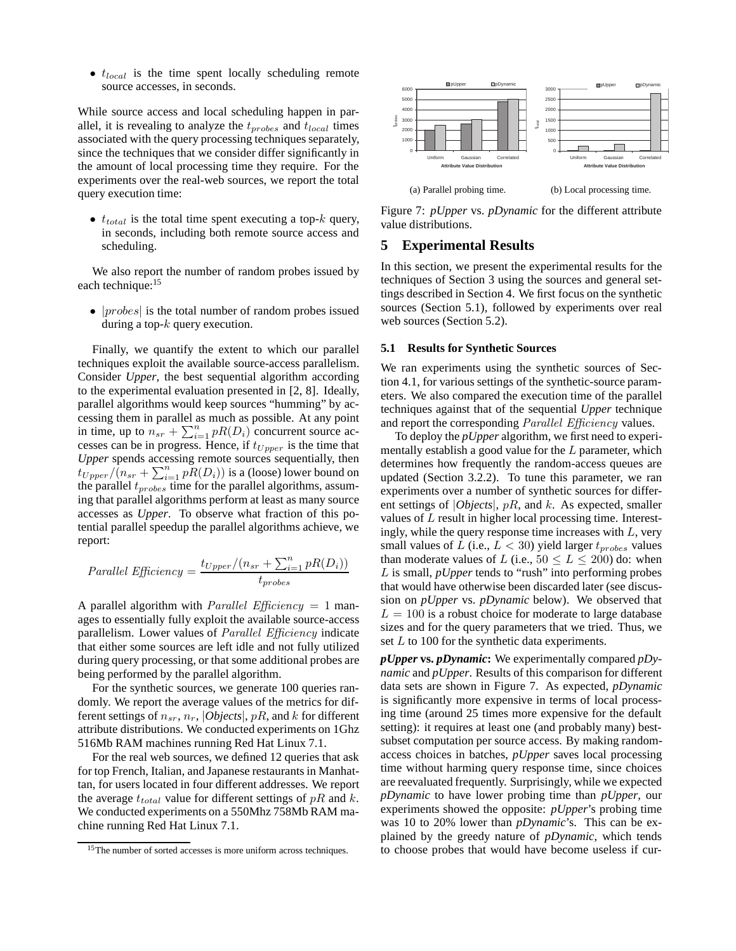$\bullet$   $t_{local}$  is the time spent locally scheduling remote source accesses, in seconds.

While source access and local scheduling happen in parallel, it is revealing to analyze the  $t_{probes}$  and  $t_{local}$  times associated with the query processing techniques separately, since the techniques that we consider differ significantly in the amount of local processing time they require. For the experiments over the real-web sources, we report the total query execution time:

•  $t_{total}$  is the total time spent executing a top-k query, in seconds, including both remote source access and scheduling.

We also report the number of random probes issued by each technique:<sup>15</sup>

•  $|probes|$  is the total number of random probes issued during a top- $k$  query execution.

Finally, we quantify the extent to which our parallel techniques exploit the available source-access parallelism. Consider *Upper*, the best sequential algorithm according to the experimental evaluation presented in [2, 8]. Ideally, parallel algorithms would keep sources "humming" by accessing them in parallel as much as possible. At any point in time, up to  $n_{sr} + \sum_{i=1}^{n} pR(D_i)$  concurrent source accesses can be in progress. Hence, if  $t_{Upper}$  is the time that *Upper* spends accessing remote sources sequentially, then  $t_{Upper}$  / $(n_{sr} + \sum_{i=1}^{n} pR(D_i))$  is a (loose) lower bound on the parallel  $t_{probes}$  time for the parallel algorithms, assuming that parallel algorithms perform at least as many source accesses as *Upper*. To observe what fraction of this potential parallel speedup the parallel algorithms achieve, we report:

Parallel Efficiency = 
$$
\frac{t_{Upper}/(n_{sr} + \sum_{i=1}^{n} pR(D_i))}{t_{probes}}
$$

A parallel algorithm with *Parallel Efficiency* = 1 manages to essentially fully exploit the available source-access parallelism. Lower values of *Parallel Efficiency* indicate that either some sources are left idle and not fully utilized during query processing, or that some additional probes are being performed by the parallel algorithm.

For the synthetic sources, we generate 100 queries randomly. We report the average values of the metrics for different settings of  $n_{sr}$ ,  $n_r$ , *Objects*, *pR*, and *k* for different attribute distributions. We conducted experiments on 1Ghz 516Mb RAM machines running Red Hat Linux 7.1.

For the real web sources, we defined 12 queries that ask for top French, Italian, and Japanese restaurants in Manhattan, for users located in four different addresses. We report the average  $t_{total}$  value for different settings of  $pR$  and  $k$ . We conducted experiments on a 550Mhz 758Mb RAM machine running Red Hat Linux 7.1.



Figure 7: *pUpper* vs. *pDynamic* for the different attribute value distributions.

# **5 Experimental Results**

In this section, we present the experimental results for the techniques of Section 3 using the sources and general settings described in Section 4. We first focus on the synthetic sources (Section 5.1), followed by experiments over real web sources (Section 5.2).

## **5.1 Results for Synthetic Sources**

We ran experiments using the synthetic sources of Section 4.1, for various settings of the synthetic-source parameters. We also compared the execution time of the parallel techniques against that of the sequential *Upper* technique and report the corresponding *Parallel Efficiency* values.

To deploy the *pUpper* algorithm, we first need to experimentally establish a good value for the L parameter, which determines how frequently the random-access queues are updated (Section 3.2.2). To tune this parameter, we ran experiments over a number of synthetic sources for different settings of |*Objects*|, pR, and k. As expected, smaller values of L result in higher local processing time. Interestingly, while the query response time increases with  $L$ , very small values of L (i.e.,  $L < 30$ ) yield larger  $t_{probes}$  values than moderate values of L (i.e.,  $50 \le L \le 200$ ) do: when L is small, *pUpper* tends to "rush" into performing probes that would have otherwise been discarded later (see discussion on *pUpper* vs. *pDynamic* below). We observed that  $L = 100$  is a robust choice for moderate to large database sizes and for the query parameters that we tried. Thus, we set L to 100 for the synthetic data experiments.

*pUpper* **vs.** *pDynamic***:** We experimentally compared *pDynamic* and *pUpper*. Results of this comparison for different data sets are shown in Figure 7. As expected, *pDynamic* is significantly more expensive in terms of local processing time (around 25 times more expensive for the default setting): it requires at least one (and probably many) bestsubset computation per source access. By making randomaccess choices in batches, *pUpper* saves local processing time without harming query response time, since choices are reevaluated frequently. Surprisingly, while we expected *pDynamic* to have lower probing time than *pUpper*, our experiments showed the opposite: *pUpper*'s probing time was 10 to 20% lower than *pDynamic*'s. This can be explained by the greedy nature of *pDynamic*, which tends to choose probes that would have become useless if cur-

<sup>&</sup>lt;sup>15</sup>The number of sorted accesses is more uniform across techniques.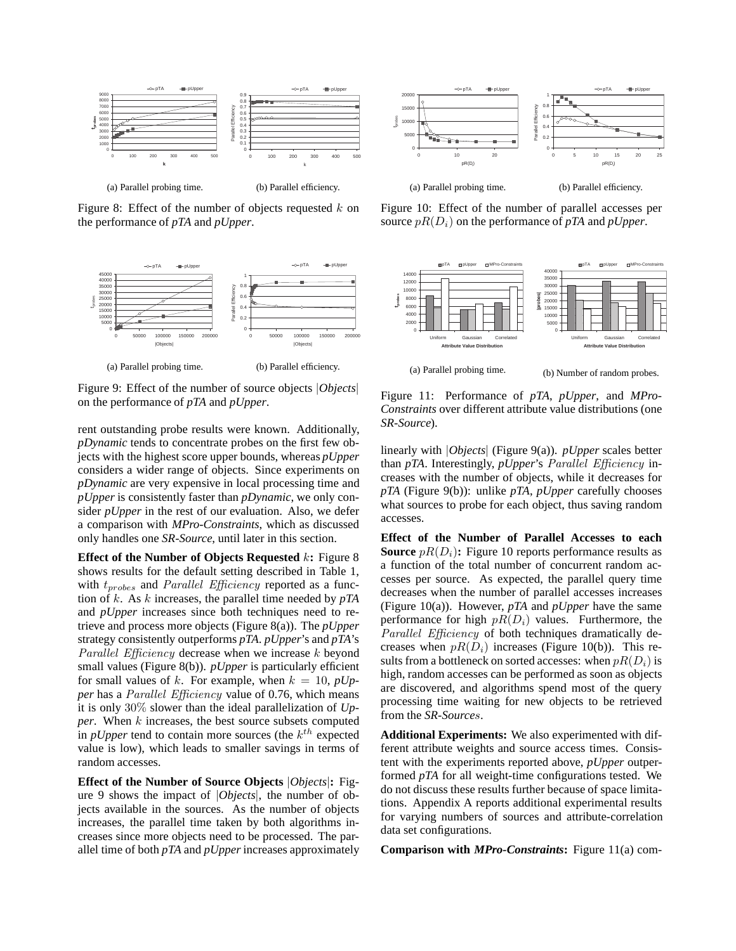

Figure 8: Effect of the number of objects requested  $k$  on the performance of *pTA* and *pUpper*.



Figure 9: Effect of the number of source objects |*Objects*| on the performance of *pTA* and *pUpper*.

rent outstanding probe results were known. Additionally, *pDynamic* tends to concentrate probes on the first few objects with the highest score upper bounds, whereas *pUpper* considers a wider range of objects. Since experiments on *pDynamic* are very expensive in local processing time and *pUpper* is consistently faster than *pDynamic*, we only consider *pUpper* in the rest of our evaluation. Also, we defer a comparison with *MPro-Constraints*, which as discussed only handles one *SR-Source*, until later in this section.

**Effect of the Number of Objects Requested** k**:** Figure 8 shows results for the default setting described in Table 1, with  $t_{probes}$  and *Parallel Efficiency* reported as a function of k. As k increases, the parallel time needed by *pTA* and *pUpper* increases since both techniques need to retrieve and process more objects (Figure 8(a)). The *pUpper* strategy consistently outperforms *pTA*. *pUpper*'s and *pTA*'s *Parallel Efficiency* decrease when we increase k beyond small values (Figure 8(b)). *pUpper* is particularly efficient for small values of k. For example, when  $k = 10$ ,  $pUp$ *per* has a *Parallel Efficiency* value of 0.76, which means it is only 30% slower than the ideal parallelization of *Upper*. When k increases, the best source subsets computed in *pUpper* tend to contain more sources (the  $k<sup>th</sup>$  expected value is low), which leads to smaller savings in terms of random accesses.

**Effect of the Number of Source Objects** |*Objects*|**:** Figure 9 shows the impact of |*Objects*|, the number of objects available in the sources. As the number of objects increases, the parallel time taken by both algorithms increases since more objects need to be processed. The parallel time of both *pTA* and *pUpper* increases approximately



Figure 10: Effect of the number of parallel accesses per source  $pR(D_i)$  on the performance of  $pTA$  and  $pUpper$ .



Figure 11: Performance of *pTA*, *pUpper*, and *MPro-Constraints* over different attribute value distributions (one *SR-Source*).

linearly with |*Objects*| (Figure 9(a)). *pUpper* scales better than *pTA*. Interestingly, *pUpper*'s *Parallel Efficiency* increases with the number of objects, while it decreases for *pTA* (Figure 9(b)): unlike *pTA*, *pUpper* carefully chooses what sources to probe for each object, thus saving random accesses.

**Effect of the Number of Parallel Accesses to each Source**  $pR(D_i)$ : Figure 10 reports performance results as a function of the total number of concurrent random accesses per source. As expected, the parallel query time decreases when the number of parallel accesses increases (Figure 10(a)). However, *pTA* and *pUpper* have the same performance for high  $pR(D_i)$  values. Furthermore, the *Parallel Efficiency* of both techniques dramatically decreases when  $pR(D_i)$  increases (Figure 10(b)). This results from a bottleneck on sorted accesses: when  $pR(D_i)$  is high, random accesses can be performed as soon as objects are discovered, and algorithms spend most of the query processing time waiting for new objects to be retrieved from the *SR-Source*s.

**Additional Experiments:** We also experimented with different attribute weights and source access times. Consistent with the experiments reported above, *pUpper* outperformed *pTA* for all weight-time configurations tested. We do not discuss these results further because of space limitations. Appendix A reports additional experimental results for varying numbers of sources and attribute-correlation data set configurations.

**Comparison with** *MPro-Constraints***:** Figure 11(a) com-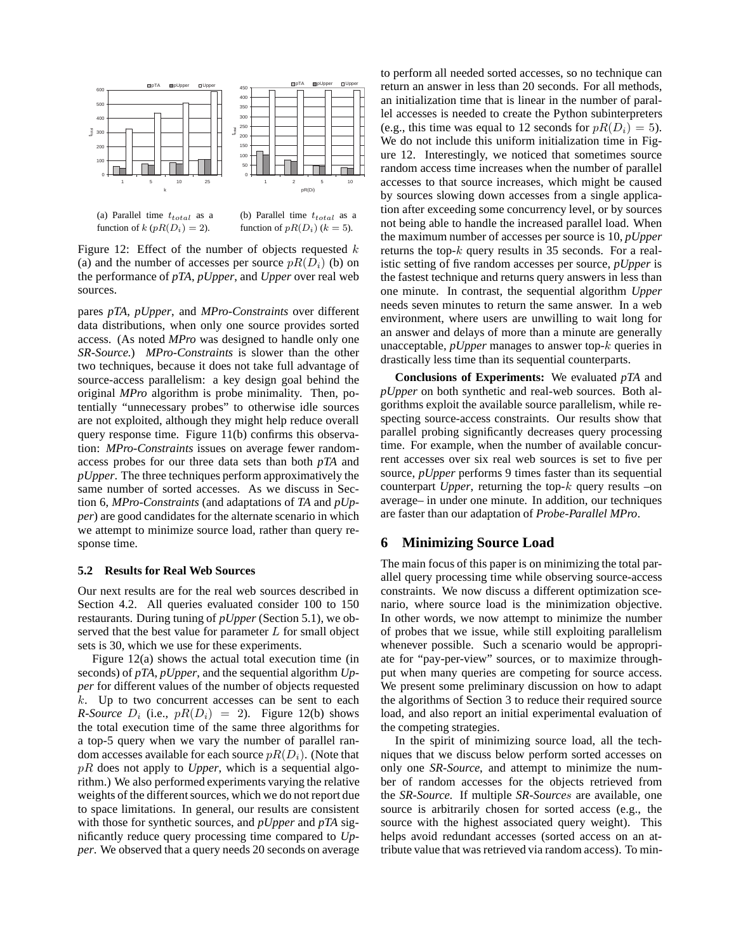

(a) Parallel time  $t_{total}$  as a function of k ( $pR(D_i)=2$ ).

(b) Parallel time  $t_{total}$  as a function of  $pR(D_i)$  ( $k = 5$ ).

Figure 12: Effect of the number of objects requested  $k$ (a) and the number of accesses per source  $pR(D_i)$  (b) on the performance of *pTA*, *pUpper*, and *Upper* over real web sources.

pares *pTA*, *pUpper*, and *MPro-Constraints* over different data distributions, when only one source provides sorted access. (As noted *MPro* was designed to handle only one *SR-Source*.) *MPro-Constraints* is slower than the other two techniques, because it does not take full advantage of source-access parallelism: a key design goal behind the original *MPro* algorithm is probe minimality. Then, potentially "unnecessary probes" to otherwise idle sources are not exploited, although they might help reduce overall query response time. Figure 11(b) confirms this observation: *MPro-Constraints* issues on average fewer randomaccess probes for our three data sets than both *pTA* and *pUpper*. The three techniques perform approximatively the same number of sorted accesses. As we discuss in Section 6, *MPro-Constraints* (and adaptations of *TA* and *pUpper*) are good candidates for the alternate scenario in which we attempt to minimize source load, rather than query response time.

#### **5.2 Results for Real Web Sources**

Our next results are for the real web sources described in Section 4.2. All queries evaluated consider 100 to 150 restaurants. During tuning of *pUpper* (Section 5.1), we observed that the best value for parameter  $L$  for small object sets is 30, which we use for these experiments.

Figure 12(a) shows the actual total execution time (in seconds) of *pTA*, *pUpper*, and the sequential algorithm *Upper* for different values of the number of objects requested  $k$ . Up to two concurrent accesses can be sent to each *R-Source*  $D_i$  (i.e.,  $pR(D_i) = 2$ ). Figure 12(b) shows the total execution time of the same three algorithms for a top-5 query when we vary the number of parallel random accesses available for each source  $pR(D_i)$ . (Note that pR does not apply to *Upper*, which is a sequential algorithm.) We also performed experiments varying the relative weights of the different sources, which we do not report due to space limitations. In general, our results are consistent with those for synthetic sources, and *pUpper* and *pTA* significantly reduce query processing time compared to *Upper*. We observed that a query needs 20 seconds on average to perform all needed sorted accesses, so no technique can return an answer in less than 20 seconds. For all methods, an initialization time that is linear in the number of parallel accesses is needed to create the Python subinterpreters (e.g., this time was equal to 12 seconds for  $pR(D_i)=5$ ). We do not include this uniform initialization time in Figure 12. Interestingly, we noticed that sometimes source random access time increases when the number of parallel accesses to that source increases, which might be caused by sources slowing down accesses from a single application after exceeding some concurrency level, or by sources not being able to handle the increased parallel load. When the maximum number of accesses per source is 10, *pUpper* returns the top- $k$  query results in 35 seconds. For a realistic setting of five random accesses per source, *pUpper* is the fastest technique and returns query answers in less than one minute. In contrast, the sequential algorithm *Upper* needs seven minutes to return the same answer. In a web environment, where users are unwilling to wait long for an answer and delays of more than a minute are generally unacceptable, *pUpper* manages to answer top-k queries in drastically less time than its sequential counterparts.

**Conclusions of Experiments:** We evaluated *pTA* and *pUpper* on both synthetic and real-web sources. Both algorithms exploit the available source parallelism, while respecting source-access constraints. Our results show that parallel probing significantly decreases query processing time. For example, when the number of available concurrent accesses over six real web sources is set to five per source, *pUpper* performs 9 times faster than its sequential counterpart *Upper*, returning the top-k query results –on average– in under one minute. In addition, our techniques are faster than our adaptation of *Probe-Parallel MPro*.

# **6 Minimizing Source Load**

The main focus of this paper is on minimizing the total parallel query processing time while observing source-access constraints. We now discuss a different optimization scenario, where source load is the minimization objective. In other words, we now attempt to minimize the number of probes that we issue, while still exploiting parallelism whenever possible. Such a scenario would be appropriate for "pay-per-view" sources, or to maximize throughput when many queries are competing for source access. We present some preliminary discussion on how to adapt the algorithms of Section 3 to reduce their required source load, and also report an initial experimental evaluation of the competing strategies.

In the spirit of minimizing source load, all the techniques that we discuss below perform sorted accesses on only one *SR-Source*, and attempt to minimize the number of random accesses for the objects retrieved from the *SR-Source*. If multiple *SR-Source*s are available, one source is arbitrarily chosen for sorted access (e.g., the source with the highest associated query weight). This helps avoid redundant accesses (sorted access on an attribute value that was retrieved via random access). To min-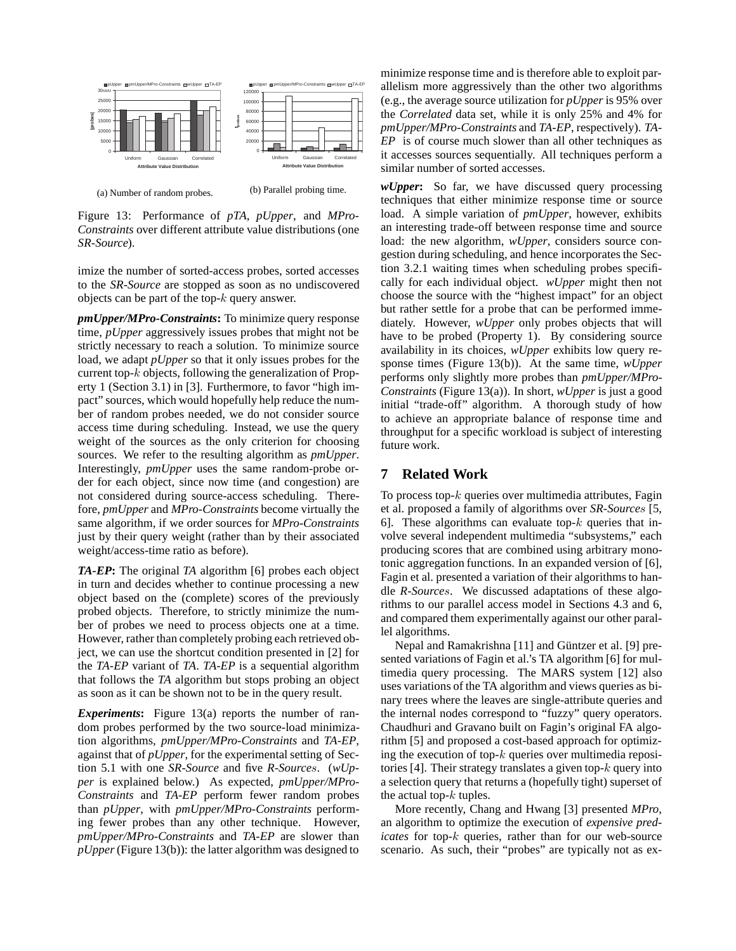

(a) Number of random probes. (b) Parallel probing time.

Figure 13: Performance of *pTA*, *pUpper*, and *MPro-Constraints* over different attribute value distributions (one *SR-Source*).

imize the number of sorted-access probes, sorted accesses to the *SR-Source* are stopped as soon as no undiscovered objects can be part of the top- $k$  query answer.

*pmUpper/MPro-Constraints***:** To minimize query response time, *pUpper* aggressively issues probes that might not be strictly necessary to reach a solution. To minimize source load, we adapt *pUpper* so that it only issues probes for the current top-k objects, following the generalization of Property 1 (Section 3.1) in [3]. Furthermore, to favor "high impact" sources, which would hopefully help reduce the number of random probes needed, we do not consider source access time during scheduling. Instead, we use the query weight of the sources as the only criterion for choosing sources. We refer to the resulting algorithm as *pmUpper*. Interestingly, *pmUpper* uses the same random-probe order for each object, since now time (and congestion) are not considered during source-access scheduling. Therefore, *pmUpper* and *MPro-Constraints* become virtually the same algorithm, if we order sources for *MPro-Constraints* just by their query weight (rather than by their associated weight/access-time ratio as before).

*TA-EP***:** The original *TA* algorithm [6] probes each object in turn and decides whether to continue processing a new object based on the (complete) scores of the previously probed objects. Therefore, to strictly minimize the number of probes we need to process objects one at a time. However, rather than completely probing each retrieved object, we can use the shortcut condition presented in [2] for the *TA-EP* variant of *TA*. *TA-EP* is a sequential algorithm that follows the *TA* algorithm but stops probing an object as soon as it can be shown not to be in the query result.

*Experiments***:** Figure 13(a) reports the number of random probes performed by the two source-load minimization algorithms, *pmUpper/MPro-Constraints* and *TA-EP*, against that of *pUpper*, for the experimental setting of Section 5.1 with one *SR-Source* and five *R-Source*s. (*wUpper* is explained below.) As expected, *pmUpper/MPro-Constraints* and *TA-EP* perform fewer random probes than *pUpper*, with *pmUpper/MPro-Constraints* performing fewer probes than any other technique. However, *pmUpper/MPro-Constraints* and *TA-EP* are slower than *pUpper*(Figure 13(b)): the latter algorithm was designed to

minimize response time and is therefore able to exploit parallelism more aggressively than the other two algorithms (e.g., the average source utilization for *pUpper* is 95% over the *Correlated* data set, while it is only 25% and 4% for *pmUpper/MPro-Constraints* and *TA-EP*, respectively). *TA-EP* is of course much slower than all other techniques as it accesses sources sequentially. All techniques perform a similar number of sorted accesses.

*wUpper***:** So far, we have discussed query processing techniques that either minimize response time or source load. A simple variation of *pmUpper*, however, exhibits an interesting trade-off between response time and source load: the new algorithm, *wUpper*, considers source congestion during scheduling, and hence incorporates the Section 3.2.1 waiting times when scheduling probes specifically for each individual object. *wUpper* might then not choose the source with the "highest impact" for an object but rather settle for a probe that can be performed immediately. However, *wUpper* only probes objects that will have to be probed (Property 1). By considering source availability in its choices, *wUpper* exhibits low query response times (Figure 13(b)). At the same time, *wUpper* performs only slightly more probes than *pmUpper/MPro-Constraints* (Figure 13(a)). In short, *wUpper* is just a good initial "trade-off" algorithm. A thorough study of how to achieve an appropriate balance of response time and throughput for a specific workload is subject of interesting future work.

# **7 Related Work**

To process top- $k$  queries over multimedia attributes, Fagin et al. proposed a family of algorithms over *SR-Source*s [5, 6]. These algorithms can evaluate top- $k$  queries that involve several independent multimedia "subsystems," each producing scores that are combined using arbitrary monotonic aggregation functions. In an expanded version of [6], Fagin et al. presented a variation of their algorithms to handle *R-Source*s. We discussed adaptations of these algorithms to our parallel access model in Sections 4.3 and 6, and compared them experimentally against our other parallel algorithms.

Nepal and Ramakrishna [11] and Güntzer et al. [9] presented variations of Fagin et al.'s TA algorithm [6] for multimedia query processing. The MARS system [12] also uses variations of the TA algorithm and views queries as binary trees where the leaves are single-attribute queries and the internal nodes correspond to "fuzzy" query operators. Chaudhuri and Gravano built on Fagin's original FA algorithm [5] and proposed a cost-based approach for optimizing the execution of top- $k$  queries over multimedia repositories [4]. Their strategy translates a given top- $k$  query into a selection query that returns a (hopefully tight) superset of the actual top- $k$  tuples.

More recently, Chang and Hwang [3] presented *MPro*, an algorithm to optimize the execution of *expensive predicates* for top-k queries, rather than for our web-source scenario. As such, their "probes" are typically not as ex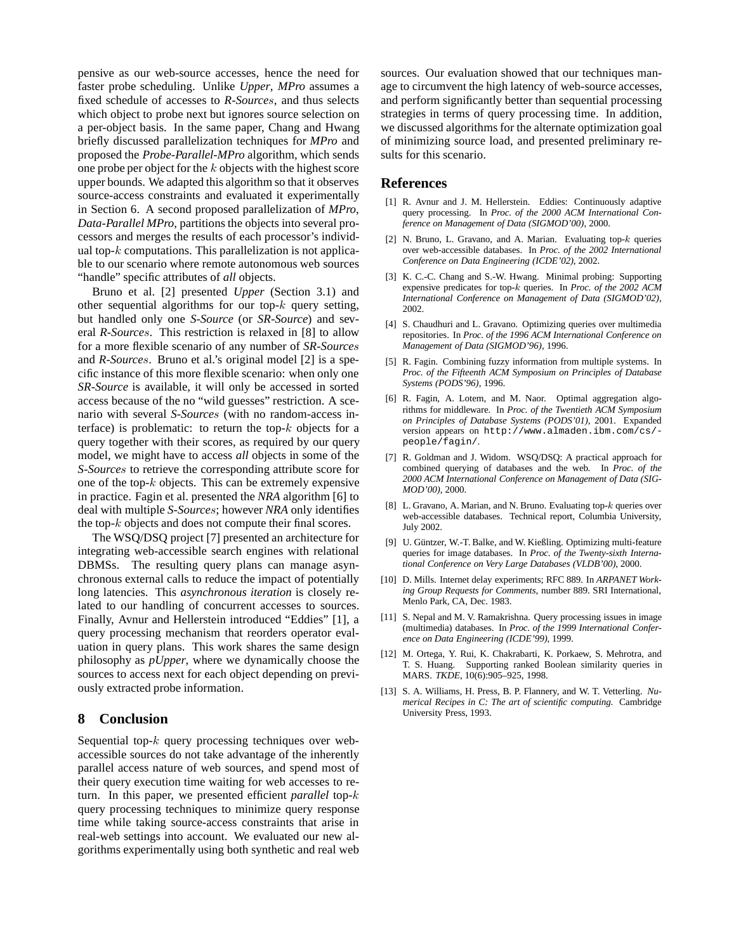pensive as our web-source accesses, hence the need for faster probe scheduling. Unlike *Upper*, *MPro* assumes a fixed schedule of accesses to *R-Source*s, and thus selects which object to probe next but ignores source selection on a per-object basis. In the same paper, Chang and Hwang briefly discussed parallelization techniques for *MPro* and proposed the *Probe-Parallel-MPro* algorithm, which sends one probe per object for the k objects with the highest score upper bounds. We adapted this algorithm so that it observes source-access constraints and evaluated it experimentally in Section 6. A second proposed parallelization of *MPro*, *Data-Parallel MPro*, partitions the objects into several processors and merges the results of each processor's individual top- $k$  computations. This parallelization is not applicable to our scenario where remote autonomous web sources "handle" specific attributes of *all* objects.

Bruno et al. [2] presented *Upper* (Section 3.1) and other sequential algorithms for our top- $k$  query setting, but handled only one *S-Source* (or *SR-Source*) and several *R-Source*s. This restriction is relaxed in [8] to allow for a more flexible scenario of any number of *SR-Source*s and *R-Source*s. Bruno et al.'s original model [2] is a specific instance of this more flexible scenario: when only one *SR-Source* is available, it will only be accessed in sorted access because of the no "wild guesses" restriction. A scenario with several *S-Source*s (with no random-access interface) is problematic: to return the top- $k$  objects for a query together with their scores, as required by our query model, we might have to access *all* objects in some of the *S-Source*s to retrieve the corresponding attribute score for one of the top- $k$  objects. This can be extremely expensive in practice. Fagin et al. presented the *NRA* algorithm [6] to deal with multiple *S-Source*s; however *NRA* only identifies the top- $k$  objects and does not compute their final scores.

The WSQ/DSQ project [7] presented an architecture for integrating web-accessible search engines with relational DBMSs. The resulting query plans can manage asynchronous external calls to reduce the impact of potentially long latencies. This *asynchronous iteration* is closely related to our handling of concurrent accesses to sources. Finally, Avnur and Hellerstein introduced "Eddies" [1], a query processing mechanism that reorders operator evaluation in query plans. This work shares the same design philosophy as *pUpper*, where we dynamically choose the sources to access next for each object depending on previously extracted probe information.

# **8 Conclusion**

Sequential top- $k$  query processing techniques over webaccessible sources do not take advantage of the inherently parallel access nature of web sources, and spend most of their query execution time waiting for web accesses to return. In this paper, we presented efficient *parallel* top-k query processing techniques to minimize query response time while taking source-access constraints that arise in real-web settings into account. We evaluated our new algorithms experimentally using both synthetic and real web sources. Our evaluation showed that our techniques manage to circumvent the high latency of web-source accesses, and perform significantly better than sequential processing strategies in terms of query processing time. In addition, we discussed algorithms for the alternate optimization goal of minimizing source load, and presented preliminary results for this scenario.

# **References**

- [1] R. Avnur and J. M. Hellerstein. Eddies: Continuously adaptive query processing. In *Proc. of the 2000 ACM International Conference on Management of Data (SIGMOD'00)*, 2000.
- [2] N. Bruno, L. Gravano, and A. Marian. Evaluating top-k queries over web-accessible databases. In *Proc. of the 2002 International Conference on Data Engineering (ICDE'02)*, 2002.
- [3] K. C.-C. Chang and S.-W. Hwang. Minimal probing: Supporting expensive predicates for top-k queries. In *Proc. of the 2002 ACM International Conference on Management of Data (SIGMOD'02)*, 2002.
- [4] S. Chaudhuri and L. Gravano. Optimizing queries over multimedia repositories. In *Proc. of the 1996 ACM International Conference on Management of Data (SIGMOD'96)*, 1996.
- [5] R. Fagin. Combining fuzzy information from multiple systems. In *Proc. of the Fifteenth ACM Symposium on Principles of Database Systems (PODS'96)*, 1996.
- [6] R. Fagin, A. Lotem, and M. Naor. Optimal aggregation algorithms for middleware. In *Proc. of the Twentieth ACM Symposium on Principles of Database Systems (PODS'01)*, 2001. Expanded version appears on http://www.almaden.ibm.com/cs/ people/fagin/.
- [7] R. Goldman and J. Widom. WSQ/DSQ: A practical approach for combined querying of databases and the web. In *Proc. of the 2000 ACM International Conference on Management of Data (SIG-MOD'00)*, 2000.
- [8] L. Gravano, A. Marian, and N. Bruno. Evaluating top- $k$  queries over web-accessible databases. Technical report, Columbia University, July 2002.
- [9] U. Güntzer, W.-T. Balke, and W. Kießling. Optimizing multi-feature queries for image databases. In *Proc. of the Twenty-sixth International Conference on Very Large Databases (VLDB'00)*, 2000.
- [10] D. Mills. Internet delay experiments; RFC 889. In *ARPANET Working Group Requests for Comments*, number 889. SRI International, Menlo Park, CA, Dec. 1983.
- [11] S. Nepal and M. V. Ramakrishna. Query processing issues in image (multimedia) databases. In *Proc. of the 1999 International Conference on Data Engineering (ICDE'99)*, 1999.
- [12] M. Ortega, Y. Rui, K. Chakrabarti, K. Porkaew, S. Mehrotra, and T. S. Huang. Supporting ranked Boolean similarity queries in MARS. *TKDE*, 10(6):905–925, 1998.
- [13] S. A. Williams, H. Press, B. P. Flannery, and W. T. Vetterling. *Numerical Recipes in C: The art of scientific computing*. Cambridge University Press, 1993.